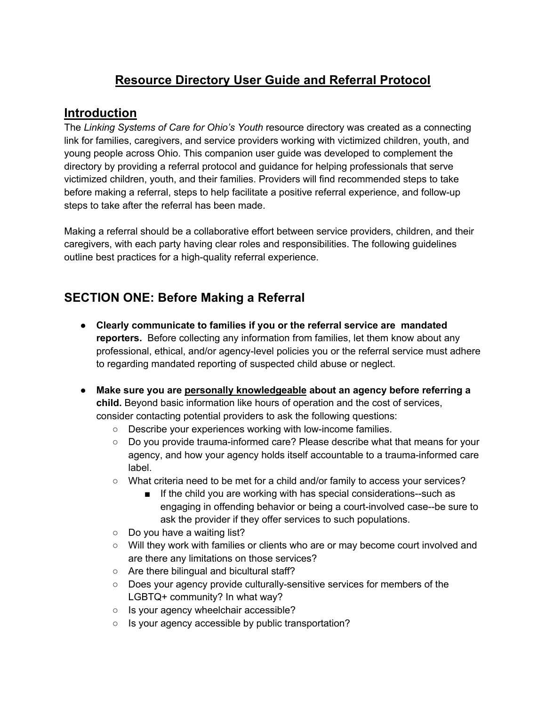# **Resource Directory User Guide and Referral Protocol**

### **Introduction**

The *Linking Systems of Care for Ohio's Youth* resource directory was created as a connecting link for families, caregivers, and service providers working with victimized children, youth, and young people across Ohio. This companion user guide was developed to complement the directory by providing a referral protocol and guidance for helping professionals that serve victimized children, youth, and their families. Providers will find recommended steps to take before making a referral, steps to help facilitate a positive referral experience, and follow-up steps to take after the referral has been made.

Making a referral should be a collaborative effort between service providers, children, and their caregivers, with each party having clear roles and responsibilities. The following guidelines outline best practices for a high-quality referral experience.

## **SECTION ONE: Before Making a Referral**

- **Clearly communicate to families if you or the referral service are mandated reporters.** Before collecting any information from families, let them know about any professional, ethical, and/or agency-level policies you or the referral service must adhere to regarding mandated reporting of suspected child abuse or neglect.
- **Make sure you are personally knowledgeable about an agency before referring a child.** Beyond basic information like hours of operation and the cost of services, consider contacting potential providers to ask the following questions:
	- Describe your experiences working with low-income families.
	- Do you provide trauma-informed care? Please describe what that means for your agency, and how your agency holds itself accountable to a trauma-informed care label.
	- What criteria need to be met for a child and/or family to access your services?
		- If the child you are working with has special considerations--such as engaging in offending behavior or being a court-involved case--be sure to ask the provider if they offer services to such populations.
	- Do you have a waiting list?
	- Will they work with families or clients who are or may become court involved and are there any limitations on those services?
	- Are there bilingual and bicultural staff?
	- Does your agency provide culturally-sensitive services for members of the LGBTQ+ community? In what way?
	- Is your agency wheelchair accessible?
	- Is your agency accessible by public transportation?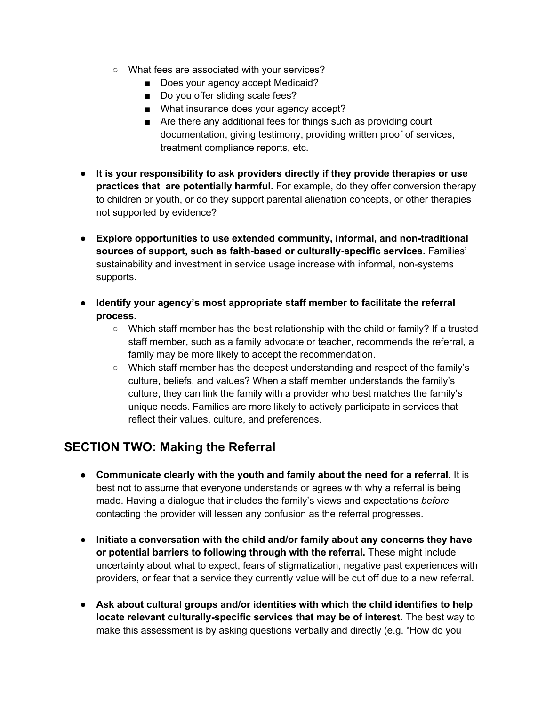- What fees are associated with your services?
	- Does your agency accept Medicaid?
	- Do you offer sliding scale fees?
	- What insurance does your agency accept?
	- Are there any additional fees for things such as providing court documentation, giving testimony, providing written proof of services, treatment compliance reports, etc.
- **It is your responsibility to ask providers directly if they provide therapies or use practices that are potentially harmful.** For example, do they offer conversion therapy to children or youth, or do they support parental alienation concepts, or other therapies not supported by evidence?
- **Explore opportunities to use extended community, informal, and non-traditional sources of support, such as faith-based or culturally-specific services.** Families' sustainability and investment in service usage increase with informal, non-systems supports.
- **Identify your agency's most appropriate staff member to facilitate the referral process.**
	- $\circ$  Which staff member has the best relationship with the child or family? If a trusted staff member, such as a family advocate or teacher, recommends the referral, a family may be more likely to accept the recommendation.
	- Which staff member has the deepest understanding and respect of the family's culture, beliefs, and values? When a staff member understands the family's culture, they can link the family with a provider who best matches the family's unique needs. Families are more likely to actively participate in services that reflect their values, culture, and preferences.

## **SECTION TWO: Making the Referral**

- **Communicate clearly with the youth and family about the need for a referral.** It is best not to assume that everyone understands or agrees with why a referral is being made. Having a dialogue that includes the family's views and expectations *before*  contacting the provider will lessen any confusion as the referral progresses.
- **Initiate a conversation with the child and/or family about any concerns they have or potential barriers to following through with the referral.** These might include uncertainty about what to expect, fears of stigmatization, negative past experiences with providers, or fear that a service they currently value will be cut off due to a new referral.
- **Ask about cultural groups and/or identities with which the child identifies to help locate relevant culturally-specific services that may be of interest.** The best way to make this assessment is by asking questions verbally and directly (e.g. "How do you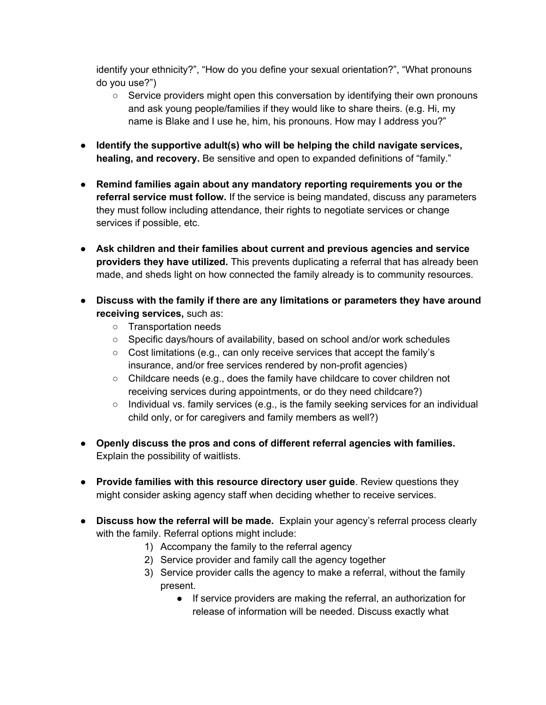identify your ethnicity?", "How do you define your sexual orientation?", "What pronouns do you use?")

- Service providers might open this conversation by identifying their own pronouns and ask young people/families if they would like to share theirs. (e.g. Hi, my name is Blake and I use he, him, his pronouns. How may I address you?"
- **Identify the supportive adult(s) who will be helping the child navigate services, healing, and recovery.** Be sensitive and open to expanded definitions of "family."
- **Remind families again about any mandatory reporting requirements you or the referral service must follow.** If the service is being mandated, discuss any parameters they must follow including attendance, their rights to negotiate services or change services if possible, etc.
- **Ask children and their families about current and previous agencies and service providers they have utilized.** This prevents duplicating a referral that has already been made, and sheds light on how connected the family already is to community resources.
- **Discuss with the family if there are any limitations or parameters they have around receiving services,** such as:
	- Transportation needs
	- Specific days/hours of availability, based on school and/or work schedules
	- Cost limitations (e.g., can only receive services that accept the family's insurance, and/or free services rendered by non-profit agencies)
	- Childcare needs (e.g., does the family have childcare to cover children not receiving services during appointments, or do they need childcare?)
	- $\circ$  Individual vs. family services (e.g., is the family seeking services for an individual child only, or for caregivers and family members as well?)
- **Openly discuss the pros and cons of different referral agencies with families.**  Explain the possibility of waitlists.
- **Provide families with this resource directory user guide**. Review questions they might consider asking agency staff when deciding whether to receive services.
- **Discuss how the referral will be made.** Explain your agency's referral process clearly with the family. Referral options might include:
	- 1) Accompany the family to the referral agency
	- 2) Service provider and family call the agency together
	- 3) Service provider calls the agency to make a referral, without the family present.
		- If service providers are making the referral, an authorization for release of information will be needed. Discuss exactly what